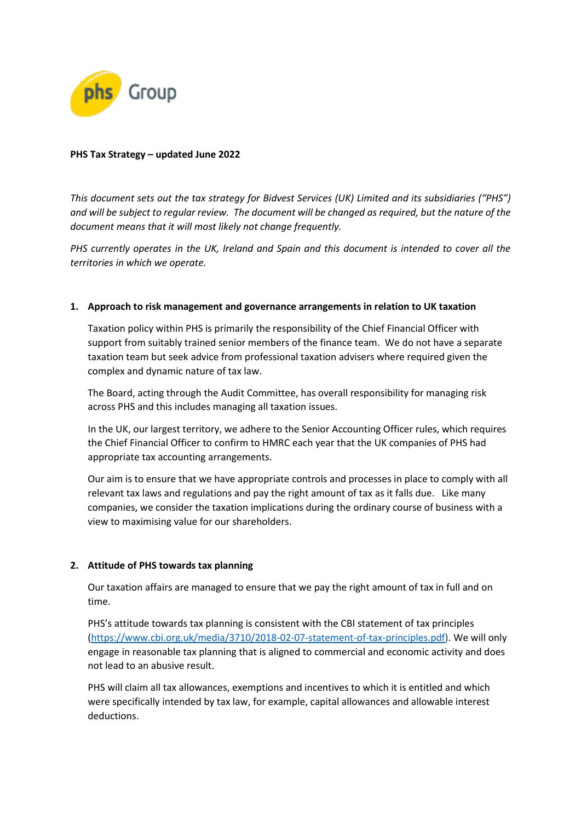

## **PHS Tax Strategy – updated June 2022**

*This document sets out the tax strategy for Bidvest Services (UK) Limited and its subsidiaries ("PHS") and will be subject to regular review. The document will be changed as required, but the nature of the document means that it will most likely not change frequently.*

*PHS currently operates in the UK, Ireland and Spain and this document is intended to cover all the territories in which we operate.*

# **1. Approach to risk management and governance arrangements in relation to UK taxation**

Taxation policy within PHS is primarily the responsibility of the Chief Financial Officer with support from suitably trained senior members of the finance team. We do not have a separate taxation team but seek advice from professional taxation advisers where required given the complex and dynamic nature of tax law.

The Board, acting through the Audit Committee, has overall responsibility for managing risk across PHS and this includes managing all taxation issues.

In the UK, our largest territory, we adhere to the Senior Accounting Officer rules, which requires the Chief Financial Officer to confirm to HMRC each year that the UK companies of PHS had appropriate tax accounting arrangements.

Our aim is to ensure that we have appropriate controls and processes in place to comply with all relevant tax laws and regulations and pay the right amount of tax as it falls due. Like many companies, we consider the taxation implications during the ordinary course of business with a view to maximising value for our shareholders.

### **2. Attitude of PHS towards tax planning**

Our taxation affairs are managed to ensure that we pay the right amount of tax in full and on time.

PHS's attitude towards tax planning is consistent with the CBI statement of tax principles [\(https://www.cbi.org.uk/media/3710/2018-02-07-statement-of-tax-principles.pdf\)](https://www.cbi.org.uk/media/3710/2018-02-07-statement-of-tax-principles.pdf). We will only engage in reasonable tax planning that is aligned to commercial and economic activity and does not lead to an abusive result.

PHS will claim all tax allowances, exemptions and incentives to which it is entitled and which were specifically intended by tax law, for example, capital allowances and allowable interest deductions.